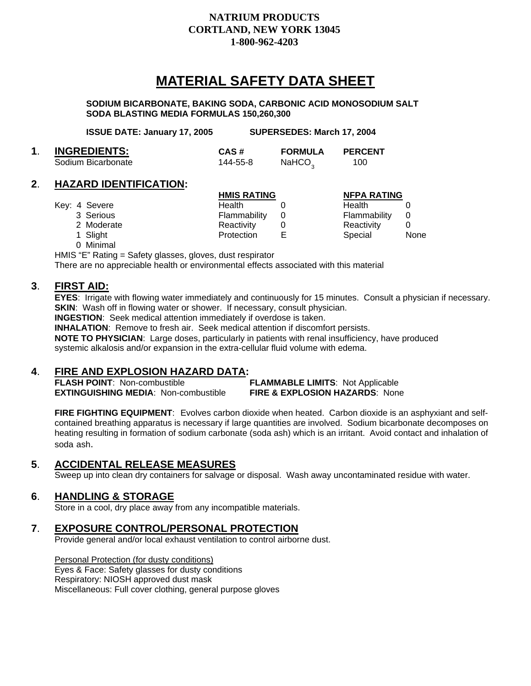# **NATRIUM PRODUCTS CORTLAND, NEW YORK 13045 1-800-962-4203**

# **MATERIAL SAFETY DATA SHEET**

 **SODIUM BICARBONATE, BAKING SODA, CARBONIC ACID MONOSODIUM SALT SODA BLASTING MEDIA FORMULAS 150,260,300** 

| <b>ISSUE DATE: January 17, 2005</b> |          | SUPERSEDES: March 17, 2004 |                |  |
|-------------------------------------|----------|----------------------------|----------------|--|
| <b>INGREDIENTS:</b>                 | CAS#     | <b>FORMULA</b>             | <b>PERCENT</b> |  |
| Sodium Bicarbonate                  | 144-55-8 | NaHCO <sub>2</sub>         | 100            |  |

#### **2**. **HAZARD IDENTIFICATION:**

|               | <b>HMIS RATING</b> |   | <b>NFPA RATING</b> |             |
|---------------|--------------------|---|--------------------|-------------|
| Key: 4 Severe | Health             |   | <b>Health</b>      |             |
| 3 Serious     | Flammability       |   | Flammability       |             |
| 2 Moderate    | Reactivity         |   | Reactivity         |             |
| 1 Slight      | Protection         | Е | Special            | <b>None</b> |
| 0 Minimal     |                    |   |                    |             |

HMIS "E" Rating = Safety glasses, gloves, dust respirator

There are no appreciable health or environmental effects associated with this material

#### **3**. **FIRST AID:**

 **EYES**: Irrigate with flowing water immediately and continuously for 15 minutes. Consult a physician if necessary. **SKIN:** Wash off in flowing water or shower. If necessary, consult physician.

**INGESTION**: Seek medical attention immediately if overdose is taken.

 **INHALATION**: Remove to fresh air. Seek medical attention if discomfort persists. **NOTE TO PHYSICIAN**: Large doses, particularly in patients with renal insufficiency, have produced

systemic alkalosis and/or expansion in the extra-cellular fluid volume with edema.

# **4**. **FIRE AND EXPLOSION HAZARD DATA:**

 **FLASH POINT**: Non-combustible **FLAMMABLE LIMITS**: Not Applicable **EXTINGUISHING MEDIA**: Non-combustible **FIRE & EXPLOSION HAZARDS**: None

FIRE FIGHTING EQUIPMENT: Evolves carbon dioxide when heated. Carbon dioxide is an asphyxiant and self contained breathing apparatus is necessary if large quantities are involved. Sodium bicarbonate decomposes on heating resulting in formation of sodium carbonate (soda ash) which is an irritant. Avoid contact and inhalation of soda ash.

# **5**. **ACCIDENTAL RELEASE MEASURES**

Sweep up into clean dry containers for salvage or disposal. Wash away uncontaminated residue with water.

**6. HANDLING & STORAGE**<br>Store in a cool, dry place away from any incompatible materials.

# **<sup>7</sup>**. **EXPOSURE CONTROL/PERSONAL PROTECTION** Provide general and/or local exhaust ventilation to control airborne dust.

 Personal Protection (for dusty conditions) Eyes & Face: Safety glasses for dusty conditions Respiratory: NIOSH approved dust mask Miscellaneous: Full cover clothing, general purpose gloves